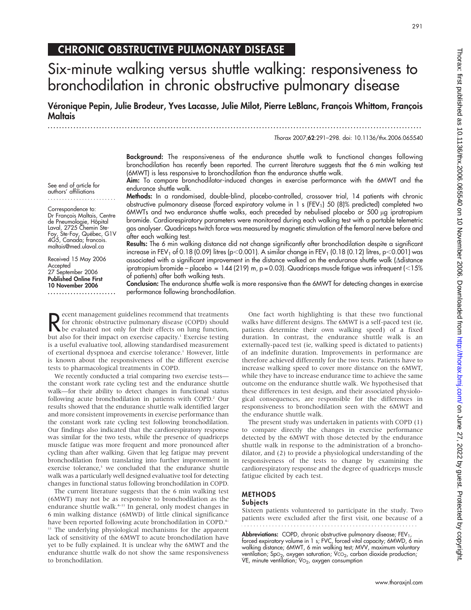Thorax: first published as 10.1136/thx.2006.065540 on 10 November 2006. Downloaded from http://thorax.bmj.com/ on June 27, 2022 by guest. Protected by copyright Thorax: three as 10: 11366416 by guest. Protected by guest. Durative and the set of the second on the struggler and the set  $Z$   $Z$  by a  $Z$   $D$   $Z$   $D$   $Z$   $D$   $Z$   $D$   $Z$   $D$   $Z$   $D$   $Z$   $D$   $Z$   $D$   $Z$   $D$   $Z$   $D$   $Z$ 

# CHRONIC OBSTRUCTIVE PULMONARY DISEASE

# Six-minute walking versus shuttle walking: responsiveness to bronchodilation in chronic obstructive pulmonary disease

Véronique Pepin, Julie Brodeur, Yves Lacasse, Julie Milot, Pierre LeBlanc, Francois Whittom, Francois Maltais

...................................................................................................................................

Thorax 2007;62:291–298. doi: 10.1136/thx.2006.065540

Background: The responsiveness of the endurance shuttle walk to functional changes following bronchodilation has recently been reported. The current literature suggests that the 6 min walking test (6MWT) is less responsive to bronchodilation than the endurance shuttle walk.

Aim: To compare bronchodilator-induced changes in exercise performance with the 6MWT and the endurance shuttle walk.

Methods: In a randomised, double-blind, placebo-controlled, crossover trial, 14 patients with chronic obstructive pulmonary disease (forced expiratory volume in 1 s (FEV<sub>1</sub>) 50 (8)% predicted) completed two 6MWTs and two endurance shuttle walks, each preceded by nebulised placebo or 500 µg ipratropium bromide. Cardiorespiratory parameters were monitored during each walking test with a portable telemetric gas analyser. Quadriceps twitch force was measured by magnetic stimulation of the femoral nerve before and after each walking test.

Results: The 6 min walking distance did not change significantly after bronchodilation despite a significant increase in FEV<sub>1</sub> of 0.18 (0.09) litres (p<0.001). A similar change in FEV<sub>1</sub> (0.18 (0.12) litres, p<0.001) was associated with a significant improvement in the distance walked on the endurance shuttle walk (Ddistance ipratropium bromide – placebo = 144 (219) m,  $p = 0.03$ . Quadriceps muscle fatigue was infrequent ( $\leq 15\%$ of patients) after both walking tests.

Conclusion: The endurance shuttle walk is more responsive than the 6MWT for detecting changes in exercise performance following bronchodilation.

**R** ecent management guidelines recommend that treatments<br>for chronic obstructive pulmonary disease (COPD) should<br>but else for their effects on lung function, ecent management guidelines recommend that treatments for chronic obstructive pulmonary disease (COPD) should but also for their impact on exercise capacity.<sup>1</sup> Exercise testing is a useful evaluative tool, allowing standardised measurement of exertional dyspnoea and exercise tolerance.<sup>1</sup> However, little is known about the responsiveness of the different exercise tests to pharmacological treatments in COPD.

We recently conducted a trial comparing two exercise tests the constant work rate cycling test and the endurance shuttle walk—for their ability to detect changes in functional status following acute bronchodilation in patients with COPD.<sup>2</sup> Our results showed that the endurance shuttle walk identified larger and more consistent improvements in exercise performance than the constant work rate cycling test following bronchodilation. Our findings also indicated that the cardiorespiratory response was similar for the two tests, while the presence of quadriceps muscle fatigue was more frequent and more pronounced after cycling than after walking. Given that leg fatigue may prevent bronchodilation from translating into further improvement in exercise tolerance,<sup>3</sup> we concluded that the endurance shuttle walk was a particularly well designed evaluative tool for detecting changes in functional status following bronchodilation in COPD.

The current literature suggests that the 6 min walking test (6MWT) may not be as responsive to bronchodilation as the endurance shuttle walk.<sup>4-11</sup> In general, only modest changes in 6 min walking distance (6MWD) of little clinical significance have been reported following acute bronchodilation in COPD.<sup>4–</sup> <sup>11</sup> The underlying physiological mechanisms for the apparent lack of sensitivity of the 6MWT to acute bronchodilation have yet to be fully explained. It is unclear why the 6MWT and the endurance shuttle walk do not show the same responsiveness to bronchodilation.

One fact worth highlighting is that these two functional walks have different designs. The 6MWT is a self-paced test (ie, patients determine their own walking speed) of a fixed duration. In contrast, the endurance shuttle walk is an externally-paced test (ie, walking speed is dictated to patients) of an indefinite duration. Improvements in performance are therefore achieved differently for the two tests. Patients have to increase walking speed to cover more distance on the 6MWT, while they have to increase endurance time to achieve the same outcome on the endurance shuttle walk. We hypothesised that these differences in test design, and their associated physiological consequences, are responsible for the differences in responsiveness to bronchodilation seen with the 6MWT and the endurance shuttle walk.

The present study was undertaken in patients with COPD (1) to compare directly the changes in exercise performance detected by the 6MWT with those detected by the endurance shuttle walk in response to the administration of a bronchodilator, and (2) to provide a physiological understanding of the responsiveness of the tests to change by examining the cardiorespiratory response and the degree of quadriceps muscle fatigue elicited by each test.

#### METHODS **Subjects**

Sixteen patients volunteered to participate in the study. Two patients were excluded after the first visit, one because of a

Abbreviations: COPD, chronic obstructive pulmonary disease; FEV<sub>1</sub>, forced expiratory volume in 1 s; FVC, forced vital capacity; 6MWD, 6 min walking distance; 6MWT, 6 min walking test; MVV, maximum voluntary ventilation; SpO<sub>2</sub>, oxygen saturation; VCO<sub>2</sub>, carbon dioxide production; VE, minute ventilation;  $VO<sub>2</sub>$ , oxygen consumption

See end of article for authors' affiliations ........................

Correspondence to: Dr François Maltais, Centre de Pneumologie, Hôpital Laval, 2725 Chemin Ste-Foy, Ste-Foy, Québec, G1V 4G5, Canada; francois. maltais@med.ulaval.ca

Received 15 May 2006 Accepted 27 September 2006 Published Online First 10 November 2006 ........................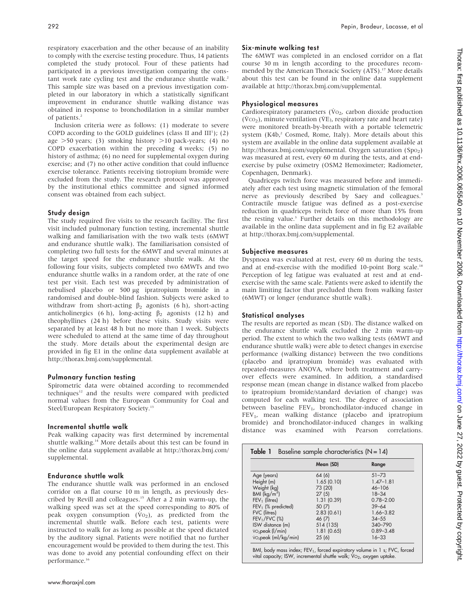respiratory exacerbation and the other because of an inability to comply with the exercise testing procedure. Thus, 14 patients completed the study protocol. Four of these patients had participated in a previous investigation comparing the constant work rate cycling test and the endurance shuttle walk.<sup>2</sup> This sample size was based on a previous investigation completed in our laboratory in which a statistically significant improvement in endurance shuttle walking distance was obtained in response to bronchodilation in a similar number of patients.<sup>2</sup>

Inclusion criteria were as follows: (1) moderate to severe COPD according to the GOLD guidelines (class II and  $III<sup>1</sup>$ ); (2) age  $>50$  years; (3) smoking history  $>10$  pack-years; (4) no COPD exacerbation within the preceding 4 weeks; (5) no history of asthma; (6) no need for supplemental oxygen during exercise; and (7) no other active condition that could influence exercise tolerance. Patients receiving tiotropium bromide were excluded from the study. The research protocol was approved by the institutional ethics committee and signed informed consent was obtained from each subject.

# Study design

The study required five visits to the research facility. The first visit included pulmonary function testing, incremental shuttle walking and familiarisation with the two walk tests (6MWT and endurance shuttle walk). The familiarisation consisted of completing two full tests for the 6MWT and several minutes at the target speed for the endurance shuttle walk. At the following four visits, subjects completed two 6MWTs and two endurance shuttle walks in a random order, at the rate of one test per visit. Each test was preceded by administration of nebulised placebo or 500 µg ipratropium bromide in a randomised and double-blind fashion. Subjects were asked to withdraw from short-acting  $\beta_2$  agonists (6 h), short-acting anticholinergics (6 h), long-acting  $\beta_2$  agonists (12 h) and theophyllines (24 h) before these visits. Study visits were separated by at least 48 h but no more than 1 week. Subjects were scheduled to attend at the same time of day throughout the study. More details about the experimental design are provided in fig E1 in the online data supplement available at http://thorax.bmj.com/supplemental.

# Pulmonary function testing

Spirometric data were obtained according to recommended techniques<sup>12</sup> and the results were compared with predicted normal values from the European Community for Coal and Steel/European Respiratory Society.13

#### Incremental shuttle walk

Peak walking capacity was first determined by incremental shuttle walking.<sup>14</sup> More details about this test can be found in the online data supplement available at http://thorax.bmj.com/ supplemental.

#### Endurance shuttle walk

The endurance shuttle walk was performed in an enclosed corridor on a flat course 10 m in length, as previously described by Revill and colleagues.15 After a 2 min warm-up, the walking speed was set at the speed corresponding to 80% of peak oxygen consumption  $(\dot{V}o_2)$ , as predicted from the incremental shuttle walk. Before each test, patients were instructed to walk for as long as possible at the speed dictated by the auditory signal. Patients were notified that no further encouragement would be provided to them during the test. This was done to avoid any potential confounding effect on their performance.<sup>16</sup>

# Six-minute walking test

The 6MWT was completed in an enclosed corridor on a flat course 30 m in length according to the procedures recommended by the American Thoracic Society (ATS).<sup>17</sup> More details about this test can be found in the online data supplement available at http://thorax.bmj.com/supplemental.

# Physiological measures

Cardiorespiratory parameters ( $\dot{V}$ O<sub>2</sub>, carbon dioxide production  $(\dot{V}CO<sub>2</sub>)$ , minute ventilation ( $\dot{V}E$ ), respiratory rate and heart rate) were monitored breath-by-breath with a portable telemetric system (K4b,<sup>2</sup> Cosmed, Rome, Italy). More details about this system are available in the online data supplement available at http://thorax.bmj.com/supplemental. Oxygen saturation  $(Spo<sub>2</sub>)$ was measured at rest, every 60 m during the tests, and at endexercise by pulse oximetry (OSM2 Hemoximeter; Radiometer, Copenhagen, Denmark).

Quadriceps twitch force was measured before and immediately after each test using magnetic stimulation of the femoral nerve as previously described by Saey and colleagues.<sup>3</sup> Contractile muscle fatigue was defined as a post-exercise reduction in quadriceps twitch force of more than 15% from the resting value.<sup>3</sup> Further details on this methodology are available in the online data supplement and in fig E2 available at http://thorax.bmj.com/supplemental.

# Subjective measures

Dyspnoea was evaluated at rest, every 60 m during the tests, and at end-exercise with the modified 10-point Borg scale.<sup>18</sup> Perception of leg fatigue was evaluated at rest and at endexercise with the same scale. Patients were asked to identify the main limiting factor that precluded them from walking faster (6MWT) or longer (endurance shuttle walk).

#### Statistical analyses

The results are reported as mean (SD). The distance walked on the endurance shuttle walk excluded the 2 min warm-up period. The extent to which the two walking tests (6MWT and endurance shuttle walk) were able to detect changes in exercise performance (walking distance) between the two conditions (placebo and ipratropium bromide) was evaluated with repeated-measures ANOVA, where both treatment and carryover effects were examined. In addition, a standardised response mean (mean change in distance walked from placebo to ipratropium bromide/standard deviation of change) was computed for each walking test. The degree of association between baseline FEV<sub>1</sub>, bronchodilator-induced change in FEV<sub>1</sub>, mean walking distance (placebo and ipratropium bromide) and bronchodilator-induced changes in walking distance was examined with Pearson correlations.

|                                              | Mean (SD)  | Range         |
|----------------------------------------------|------------|---------------|
| Age (years)                                  | 64 (6)     | $51 - 73$     |
| Height (m)                                   | 1.65(0.10) | $1.47 - 1.81$ |
| Weight (kg)                                  | 73 (20)    | $46 - 106$    |
| BMI $(kq/m^2)$                               | 27(5)      | $18 - 34$     |
| $FEV1$ (litres)                              | 1.31(0.39) | $0.78 - 2.00$ |
| $FEV1$ (% predicted)                         | 50 (7)     | $39 - 64$     |
| <b>FVC</b> (litres)                          | 2.83(0.61) | $1.66 - 3.82$ |
| $FEV1/FVC$ (%)                               | 46 (7)     | $34 - 55$     |
| ISW distance (m)                             | 514 (135)  | 340-790       |
| $\overline{v}_2$ peak ( $\overline{l}/$ min) | 1.81(0.65) | $0.89 - 3.48$ |
| vo <sub>2</sub> peak (ml/kg/min)             | 25(6)      | $16 - 33$     |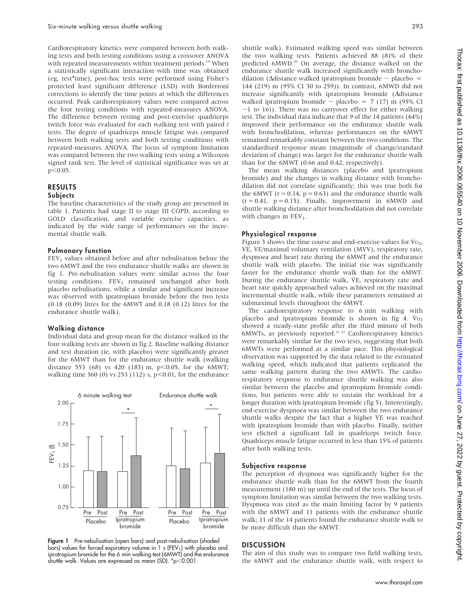Cardiorespiratory kinetics were compared between both walking tests and both testing conditions using a crossover ANOVA with repeated measurements within treatment periods.<sup>19</sup> When a statistically significant interaction with time was obtained (eg, test\*time), post-hoc tests were performed using Fisher's protected least significant difference (LSD) with Bonferroni corrections to identify the time points at which the differences occurred. Peak cardiorespiratory values were compared across the four testing conditions with repeated-measures ANOVA. The difference between resting and post-exercise quadriceps twitch force was evaluated for each walking test with paired t tests. The degree of quadriceps muscle fatigue was compared between both walking tests and both testing conditions with repeated-measures ANOVA. The locus of symptom limitation was compared between the two walking tests using a Wilcoxon signed rank test. The level of statistical significance was set at  $p<0.05$ .

# RESULTS

#### **Subjects**

The baseline characteristics of the study group are presented in table 1. Patients had stage II to stage III COPD, according to GOLD classification, and variable exercise capacities, as indicated by the wide range of performances on the incremental shuttle walk.

#### Pulmonary function

 $FEV<sub>1</sub>$  values obtained before and after nebulisation before the two 6MWT and the two endurance shuttle walks are shown in fig 1. Pre-nebulisation values were similar across the four testing conditions.  $FEV<sub>1</sub>$  remained unchanged after both placebo nebulisations, while a similar and significant increase was observed with ipratropium bromide before the two tests (0.18 (0.09) litres for the 6MWT and 0.18 (0.12) litres for the endurance shuttle walk).

#### Walking distance

Individual data and group mean for the distance walked in the four walking tests are shown in fig 2. Baseline walking distance and test duration (ie, with placebo) were significantly greater for the 6MWT than for the endurance shuttle walk (walking distance 553 (68) vs 420 (183) m, p $<$ 0.05, for the 6MWT; walking time 360 (0) vs 253 (112) s,  $p<0.01$ , for the endurance



Figure 1 Pre-nebulisation (open bars) and post-nebulisation (shaded bars) values for forced expiratory volume in 1 s (FEV<sub>1</sub>) with placebo and ipratropium bromide for the 6 min walking test (6MWT) and the endurance shuttle walk. Values are expressed as mean (SD).  $\text{*p}$  < 0.001.

shuttle walk). Estimated walking speed was similar between the two walking tests. Patients achieved 88 (8)% of their predicted 6MWD.<sup>20</sup> On average, the distance walked on the endurance shuttle walk increased significantly with bronchodilation ( $\Delta$ distance walked ipratropium bromide - placebo = 144 (219) m (95% CI 30 to 259)). In contrast, 6MWD did not increase significantly with ipratropium bromide ( $\Delta$ distance walked ipratropium bromide - placebo = 7 (17) m (95% CI  $-1$  to 16)). There was no carryover effect for either walking test. The individual data indicate that 9 of the 14 patients (64%) improved their performance on the endurance shuttle walk with bronchodilation, whereas performances on the 6MWT remained remarkably constant between the two conditions. The standardised response mean (magnitude of change/standard deviation of change) was larger for the endurance shuttle walk than for the 6MWT (0.66 and 0.42, respectively).

The mean walking distances (placebo and ipratropium bromide) and the changes in walking distance with bronchodilation did not correlate significantly; this was true both for the 6MWT ( $r = 0.14$ ,  $p = 0.63$ ) and the endurance shuttle walk  $(r = 0.41, p = 0.15)$ . Finally, improvement in 6MWD and shuttle walking distance after bronchodilation did not correlate with changes in  $FEV<sub>1</sub>$ .

### Physiological response

Figure 3 shows the time course and end-exercise values for  $\dot{V}_{O_2}$ , V˙E, V˙E/maximal voluntary ventilation (MVV), respiratory rate, dyspnoea and heart rate during the 6MWT and the endurance shuttle walk with placebo. The initial rise was significantly faster for the endurance shuttle walk than for the 6MWT. During the endurance shuttle walk, VE, respiratory rate and heart rate quickly approached values achieved on the maximal incremental shuttle walk, while these parameters remained at submaximal levels throughout the 6MWT.

The cardiorespiratory response to 6 min walking with placebo and ipratropium bromide is shown in fig 4.  $V_0$ <sub>2</sub> showed a steady-state profile after the third minute of both 6MWTs, as previously reported.<sup>21-22</sup> Cardiorespiratory kinetics were remarkably similar for the two tests, suggesting that both 6MWTs were performed at a similar pace. This physiological observation was supported by the data related to the estimated walking speed, which indicated that patients replicated the same walking pattern during the two 6MWTs. The cardiorespiratory response to endurance shuttle walking was also similar between the placebo and ipratropium bromide conditions, but patients were able to sustain the workload for a longer duration with ipratropium bromide (fig 5). Interestingly, end-exercise dyspnoea was similar between the two endurance shuttle walks despite the fact that a higher VE was reached with ipratropium bromide than with placebo. Finally, neither test elicited a significant fall in quadriceps twitch force. Quadriceps muscle fatigue occurred in less than 15% of patients after both walking tests.

#### Subjective response

The perception of dyspnoea was significantly higher for the endurance shuttle walk than for the 6MWT from the fourth measurement (180 m) up until the end of the tests. The locus of symptom limitation was similar between the two walking tests. Dyspnoea was cited as the main limiting factor by 9 patients with the 6MWT and 11 patients with the endurance shuttle walk; 11 of the 14 patients found the endurance shuttle walk to be more difficult than the 6MWT.

#### **DISCUSSION**

The aim of this study was to compare two field walking tests, the 6MWT and the endurance shuttle walk, with respect to

www.thoraxjnl.com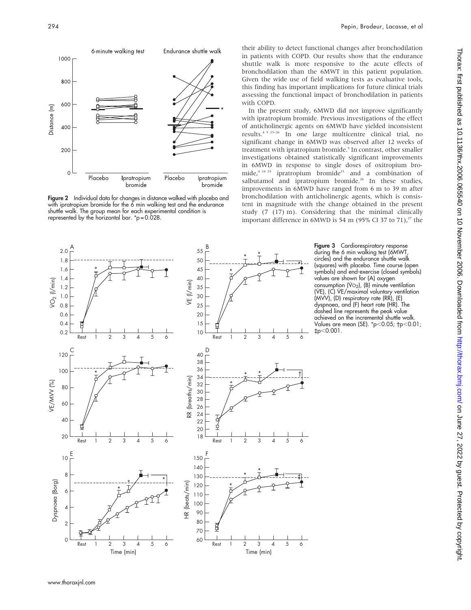

Figure 2 Individual data for changes in distance walked with placebo and with ipratropium bromide for the 6 min walking test and the endurance shuttle walk. The group mean for each experimental condition is represented by the horizontal bar. \*p = 0.028.

their ability to detect functional changes after bronchodilation in patients with COPD. Our results show that the endurance shuttle walk is more responsive to the acute effects of bronchodilation than the 6MWT in this patient population. Given the wide use of field walking tests as evaluative tools, this finding has important implications for future clinical trials assessing the functional impact of bronchodilation in patients with COPD.

In the present study, 6MWD did not improve significantly with ipratropium bromide. Previous investigations of the effect of anticholinergic agents on 6MWD have yielded inconsistent results.4 5 23–26 In one large multicentre clinical trial, no significant change in 6MWD was observed after 12 weeks of treatment with ipratropium bromide.<sup>5</sup> In contrast, other smaller investigations obtained statistically significant improvements in 6MWD in response to single doses of oxitropium bromide,<sup>4 24 25</sup> ipratropium bromide<sup>23</sup> and a combination of salbutamol and ipratropium bromide.<sup>26</sup> In these studies, improvements in 6MWD have ranged from 6 m to 39 m after bronchodilation with anticholinergic agents, which is consistent in magnitude with the change obtained in the present study (7 (17) m). Considering that the minimal clinically important difference in 6MWD is 54 m (95% CI 37 to 71),<sup>27</sup> the



Figure 3 Cardiorespiratory response during the 6 min walking test (6MWT, circles) and the endurance shuttle walk (squares) with placebo. Time course (open symbols) and end-exercise (closed symbols) values are shown for (A) oxygen consumption  $(\vee \circ_2)$ ,  $(B)$  minute ventilation (VE), (C) VE/maximal voluntary ventilation (MVV), (D) respiratory rate (RR), (E) dyspnoea, and (F) heart rate (HR). The dashed line represents the peak value achieved on the incremental shuttle walk. Values are mean (SE). \*p<0.05; †p<0.01; `p,0.001.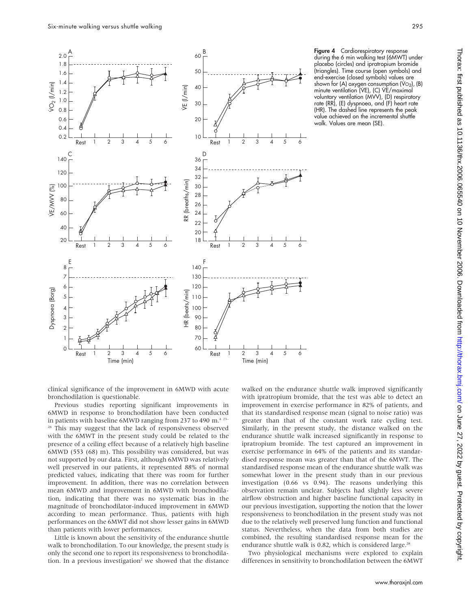

Figure 4 Cardiorespiratory response during the 6 min walking test (6MWT) under placebo (circles) and ipratropium bromide (triangles). Time course (open symbols) and end-exercise (closed symbols) values are shown for (A) oxygen consumption (V $O<sub>2</sub>$ ), (B) minute ventilation (VE), (C) VE/maximal voluntary ventilation (MVV), (D) respiratory rate (RR), (E) dyspnoea, and (F) heart rate (HR). The dashed line represents the peak value achieved on the incremental shuttle walk. Values are mean (SE).

clinical significance of the improvement in 6MWD with acute bronchodilation is questionable.

Previous studies reporting significant improvements in 6MWD in response to bronchodilation have been conducted in patients with baseline 6MWD ranging from 237 to 490 m.<sup>4 23–</sup> <sup>26</sup> This may suggest that the lack of responsiveness observed with the 6MWT in the present study could be related to the presence of a ceiling effect because of a relatively high baseline 6MWD (553 (68) m). This possibility was considered, but was not supported by our data. First, although 6MWD was relatively well preserved in our patients, it represented 88% of normal predicted values, indicating that there was room for further improvement. In addition, there was no correlation between mean 6MWD and improvement in 6MWD with bronchodilation, indicating that there was no systematic bias in the magnitude of bronchodilator-induced improvement in 6MWD according to mean performance. Thus, patients with high performances on the 6MWT did not show lesser gains in 6MWD than patients with lower performances.

Little is known about the sensitivity of the endurance shuttle walk to bronchodilation. To our knowledge, the present study is only the second one to report its responsiveness to bronchodilation. In a previous investigation<sup>2</sup> we showed that the distance walked on the endurance shuttle walk improved significantly with ipratropium bromide, that the test was able to detect an improvement in exercise performance in 82% of patients, and that its standardised response mean (signal to noise ratio) was greater than that of the constant work rate cycling test. Similarly, in the present study, the distance walked on the endurance shuttle walk increased significantly in response to ipratropium bromide. The test captured an improvement in exercise performance in 64% of the patients and its standardised response mean was greater than that of the 6MWT. The standardised response mean of the endurance shuttle walk was somewhat lower in the present study than in our previous investigation (0.66 vs 0.94). The reasons underlying this observation remain unclear. Subjects had slightly less severe airflow obstruction and higher baseline functional capacity in our previous investigation, supporting the notion that the lower responsiveness to bronchodilation in the present study was not due to the relatively well preserved lung function and functional status. Nevertheless, when the data from both studies are combined, the resulting standardised response mean for the endurance shuttle walk is 0.82, which is considered large.<sup>28</sup>

Two physiological mechanisms were explored to explain differences in sensitivity to bronchodilation between the 6MWT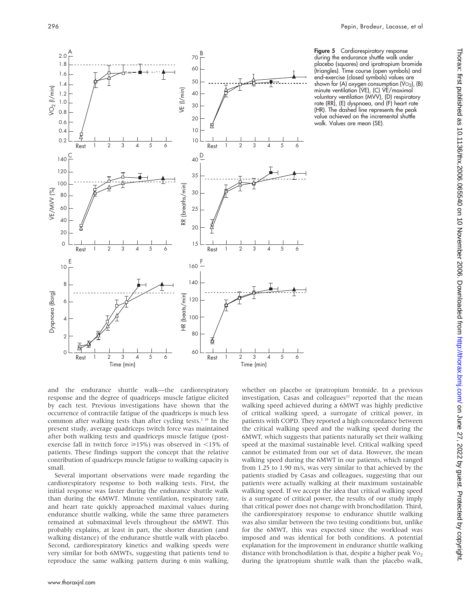

Figure 5 Cardiorespiratory response during the endurance shuttle walk under placebo (squares) and ipratropium bromide (triangles). Time course (open symbols) and end-exercise (closed symbols) values are shown for (A) oxygen consumption (V $O<sub>2</sub>$ ), (B) minute ventilation (VE), (C) VE/maximal voluntary ventilation (MVV), (D) respiratory rate (RR), (E) dyspnoea, and (F) heart rate (HR). The dashed line represents the peak value achieved on the incremental shuttle walk. Values are mean (SE).

and the endurance shuttle walk—the cardiorespiratory response and the degree of quadriceps muscle fatigue elicited by each test. Previous investigations have shown that the occurrence of contractile fatigue of the quadriceps is much less common after walking tests than after cycling tests.<sup>2 29</sup> In the present study, average quadriceps twitch force was maintained after both walking tests and quadriceps muscle fatigue (postexercise fall in twitch force  $\geq 15\%$ ) was observed in <15% of patients. These findings support the concept that the relative contribution of quadriceps muscle fatigue to walking capacity is small.

Several important observations were made regarding the cardiorespiratory response to both walking tests. First, the initial response was faster during the endurance shuttle walk than during the 6MWT. Minute ventilation, respiratory rate, and heart rate quickly approached maximal values during endurance shuttle walking, while the same three parameters remained at submaximal levels throughout the 6MWT. This probably explains, at least in part, the shorter duration (and walking distance) of the endurance shuttle walk with placebo. Second, cardiorespiratory kinetics and walking speeds were very similar for both 6MWTs, suggesting that patients tend to reproduce the same walking pattern during 6 min walking,

www.thoraxjnl.com

whether on placebo or ipratropium bromide. In a previous investigation, Casas and colleagues<sup>22</sup> reported that the mean walking speed achieved during a 6MWT was highly predictive of critical walking speed, a surrogate of critical power, in patients with COPD. They reported a high concordance between the critical walking speed and the walking speed during the 6MWT, which suggests that patients naturally set their walking speed at the maximal sustainable level. Critical walking speed cannot be estimated from our set of data. However, the mean walking speed during the 6MWT in our patients, which ranged from 1.25 to 1.90 m/s, was very similar to that achieved by the patients studied by Casas and colleagues, suggesting that our patients were actually walking at their maximum sustainable walking speed. If we accept the idea that critical walking speed is a surrogate of critical power, the results of our study imply that critical power does not change with bronchodilation. Third, the cardiorespiratory response to endurance shuttle walking was also similar between the two testing conditions but, unlike for the 6MWT, this was expected since the workload was imposed and was identical for both conditions. A potential explanation for the improvement in endurance shuttle walking distance with bronchodilation is that, despite a higher peak  $\dot{V}_{O_2}$ during the ipratropium shuttle walk than the placebo walk,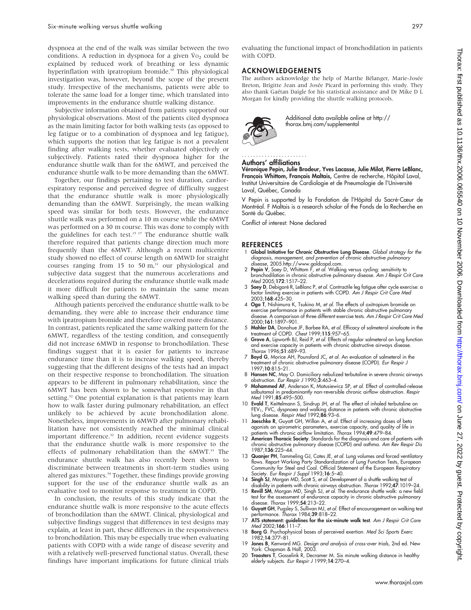dyspnoea at the end of the walk was similar between the two conditions. A reduction in dyspnoea for a given  $Vo<sub>2</sub>$  could be explained by reduced work of breathing or less dynamic hyperinflation with ipratropium bromide.<sup>30</sup> This physiological investigation was, however, beyond the scope of the present study. Irrespective of the mechanisms, patients were able to tolerate the same load for a longer time, which translated into improvements in the endurance shuttle walking distance.

Subjective information obtained from patients supported our physiological observations. Most of the patients cited dyspnoea as the main limiting factor for both walking tests (as opposed to leg fatigue or to a combination of dyspnoea and leg fatigue), which supports the notion that leg fatigue is not a prevalent finding after walking tests, whether evaluated objectively or subjectively. Patients rated their dyspnoea higher for the endurance shuttle walk than for the 6MWT, and perceived the endurance shuttle walk to be more demanding than the 6MWT.

Together, our findings pertaining to test duration, cardiorespiratory response and perceived degree of difficulty suggest that the endurance shuttle walk is more physiologically demanding than the 6MWT. Surprisingly, the mean walking speed was similar for both tests. However, the endurance shuttle walk was performed on a 10 m course while the 6MWT was performed on a 30 m course. This was done to comply with the guidelines for each test.<sup>15 17</sup> The endurance shuttle walk therefore required that patients change direction much more frequently than the 6MWT. Although a recent multicentre study showed no effect of course length on 6MWD for straight courses ranging from 15 to 50  $m<sup>31</sup>$  our physiological and subjective data suggest that the numerous accelerations and decelerations required during the endurance shuttle walk made it more difficult for patients to maintain the same mean walking speed than during the 6MWT.

Although patients perceived the endurance shuttle walk to be demanding, they were able to increase their endurance time with ipratropium bromide and therefore covered more distance. In contrast, patients replicated the same walking pattern for the 6MWT, regardless of the testing condition, and consequently did not increase 6MWD in response to bronchodilation. These findings suggest that it is easier for patients to increase endurance time than it is to increase walking speed, thereby suggesting that the different designs of the tests had an impact on their respective response to bronchodilation. The situation appears to be different in pulmonary rehabilitation, since the 6MWT has been shown to be somewhat responsive in that setting.<sup>32</sup> One potential explanation is that patients may learn how to walk faster during pulmonary rehabilitation, an effect unlikely to be achieved by acute bronchodilation alone. Nonetheless, improvements in 6MWD after pulmonary rehabilitation have not consistently reached the minimal clinical important difference.<sup>32</sup> In addition, recent evidence suggests that the endurance shuttle walk is more responsive to the effects of pulmonary rehabilitation than the 6MWT.<sup>33</sup> The endurance shuttle walk has also recently been shown to discriminate between treatments in short-term studies using altered gas mixtures.34 Together, these findings provide growing support for the use of the endurance shuttle walk as an evaluative tool to monitor response to treatment in COPD.

In conclusion, the results of this study indicate that the endurance shuttle walk is more responsive to the acute effects of bronchodilation than the 6MWT. Clinical, physiological and subjective findings suggest that differences in test designs may explain, at least in part, these differences in the responsiveness to bronchodilation. This may be especially true when evaluating patients with COPD with a wide range of disease severity and with a relatively well-preserved functional status. Overall, these findings have important implications for future clinical trials

evaluating the functional impact of bronchodilation in patients with COPD.

# ACKNOWLEDGEMENTS

The authors acknowledge the help of Marthe Bélanger, Marie-Josée Breton, Brigitte Jean and Josée Picard in performing this study. They also thank Gaétan Daigle for his statistical assistance and Dr Mike D L Morgan for kindly providing the shuttle walking protocols.



Additional data available online at http:// thorax.bmj.com/supplemental

#### Authors' affiliations

.......................

Véronique Pepin, Julie Brodeur, Yves Lacasse, Julie Milot, Pierre LeBlanc, François Whittom, François Maltais, Centre de recherche, Hôpital Laval, Institut Universitaire de Cardiologie et de Pneumologie de l'Université Laval, Québec, Canada

V Pepin is supported by la Fondation de l'Hôpital du Sacré-Cœur de Montréal. F Maltais is a research scholar of the Fonds de la Recherche en Santé du Québec.

Conflict of interest: None declared

#### **REFERENCES**

- 1 Global Initiative for Chronic Obstructive Lung Disease. Global strategy for the diagnosis, management, and prevention of chronic obstructive pulmonary disease, 2005.http://www.goldcopd.com.
- 2 Pepin V, Saey D, Whittom F, et al. Walking versus cycling: sensitivity to bronchodilation in chronic obstructive pulmonary disease. Am J Respir Crit Care Med 2005;172:1517–22.
- 3 Saey D, Debigaré R, LeBlanc P, et al. Contractile leg fatigue after cycle exercise: a factor limiting exercise in patients with COPD. Am J Respir Crit Care Med 2003;168:425–30.
- 4 Oga T, Nishimura K, Tsukino M, et al. The effects of oxitropium bromide on exercise performance in patients with stable chronic obstructive pulmonary disease. A comparison of three different exercise tests. Am J Respir Crit Care Med 2000;161:1897–901.
- 5 Mahler DA, Donohue JF, Barbee RA, et al. Efficacy of salmeterol xinafoate in the treatment of COPD. Chest 1999;115:957–65.
- 6 Grove A, Lipworth BJ, Reid P, et al. Effects of regular salmeterol on lung function and exercise capacity in patients with chronic obstructive airways disease. Thorax 1996;51:689-93.
- 7 Boyd G, Morice AH, Pounsford JC, et al. An evaluation of salmeterol in the treatment of chronic obstructive pulmonary disease (COPD). Eur Respir J 1997;10:815–21.
- 8 Hansen NC, May O. Domiciliary nebulized terbutaline in severe chronic airways obstruction. Eur Respir J 1990;3:463–4.
- 9 Mohammed AF, Anderson K, Matusiewicz SP, et al. Effect of controlled-release salbutamol in predominantly non-reversible chronic airflow obstruction. Respir Med 1991:85:495-500.
- 10 **Evald T**, Keittelmann S, Sindrup JH, *et al.* The effect of inhaled terbutaline on<br>FEV<sub>1</sub>, FVC, dyspnoea and walking distance in patients with chronic obstructive<br>lung disease. Respir Med 1992;**86**:93–6.
- 11 Jaeschke R, Guyatt GH, Willan A, et al. Effect of increasing doses of beta agonists on spirometric parameters, exercise capacity, and quality of life in
- patients with chronic airflow limitation. Thorax 1994;49:479–84.<br>12 **American Thoracic Society**. Standards for the diagnosis and care of patients with chronic obstructive pulmonary disease (COPD) and asthma. Am Rev Respir Dis 1987;136:225–44.
- 13 Quanjer PH, Tammeling GJ, Cotes JE, *et al.* Lung volumes and forced ventilatory<br>flows. Report Working Party Standardization of Lung Function Tests, European<br>Community for Steel and Coal. Official Statement of the Europ Society. Eur Respir J Suppl 1993;16:5-40.
- 14 Singh SJ, Morgan MD, Scott S, et al. Development of a shuttle walking test of disability in patients with chronic airways obstruction. Thorax 1992;47:1019–24.
- 15 Revill SM, Morgan MD, Singh SJ, et al. The endurance shuttle walk: a new field test for the assessment of endurance capacity in chronic obstructive pulmonary disease. Thorax 1999;54:213–22.
- 16 Guyatt GH, Pugsley S, Sullivan MJ, et al. Effect of encouragement on walking test performance. Thorax 1984;39:818–22. 17 ATS statement: guidelines for the six-minute walk test. Am J Respir Crit Care
- Med 2002;166:111-7.
- 18 Borg G. Psychophysical bases of perceived exertion. Med Sci Sports Exerc 1982;14:377–81.
- 19 Jones B, Kenward MG. Design and analysis of cross-over trials, 2nd ed. New York: Chapman & Hall, 2003.
- 20 Troosters T, Gosselink R, Decramer M. Six minute walking distance in healthy elderly subjects. Eur Respir J 1999;14:270–4.